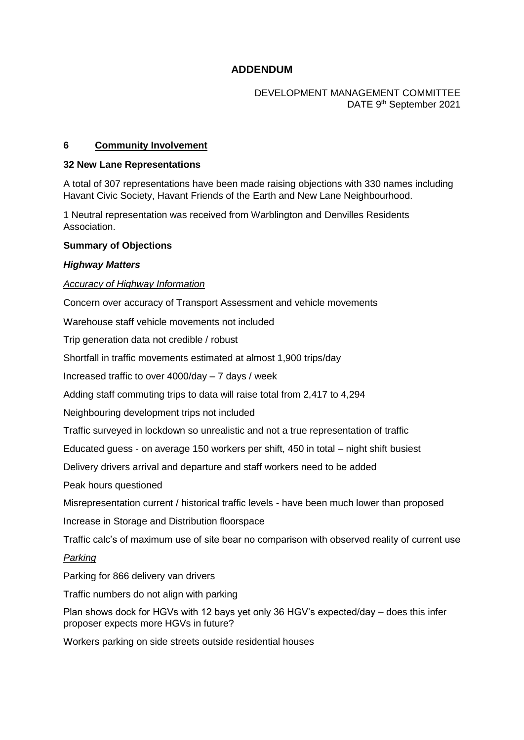# **ADDENDUM**

## DEVELOPMENT MANAGEMENT COMMITTEE DATE 9<sup>th</sup> September 2021

### **6 Community Involvement**

#### **32 New Lane Representations**

A total of 307 representations have been made raising objections with 330 names including Havant Civic Society, Havant Friends of the Earth and New Lane Neighbourhood.

1 Neutral representation was received from Warblington and Denvilles Residents Association.

#### **Summary of Objections**

#### *Highway Matters*

#### *Accuracy of Highway Information*

Concern over accuracy of Transport Assessment and vehicle movements

Warehouse staff vehicle movements not included

Trip generation data not credible / robust

Shortfall in traffic movements estimated at almost 1,900 trips/day

Increased traffic to over 4000/day – 7 days / week

Adding staff commuting trips to data will raise total from 2,417 to 4,294

Neighbouring development trips not included

Traffic surveyed in lockdown so unrealistic and not a true representation of traffic

Educated guess - on average 150 workers per shift, 450 in total – night shift busiest

Delivery drivers arrival and departure and staff workers need to be added

Peak hours questioned

Misrepresentation current / historical traffic levels - have been much lower than proposed

Increase in Storage and Distribution floorspace

Traffic calc's of maximum use of site bear no comparison with observed reality of current use

## *Parking*

Parking for 866 delivery van drivers

Traffic numbers do not align with parking

Plan shows dock for HGVs with 12 bays yet only 36 HGV's expected/day – does this infer proposer expects more HGVs in future?

Workers parking on side streets outside residential houses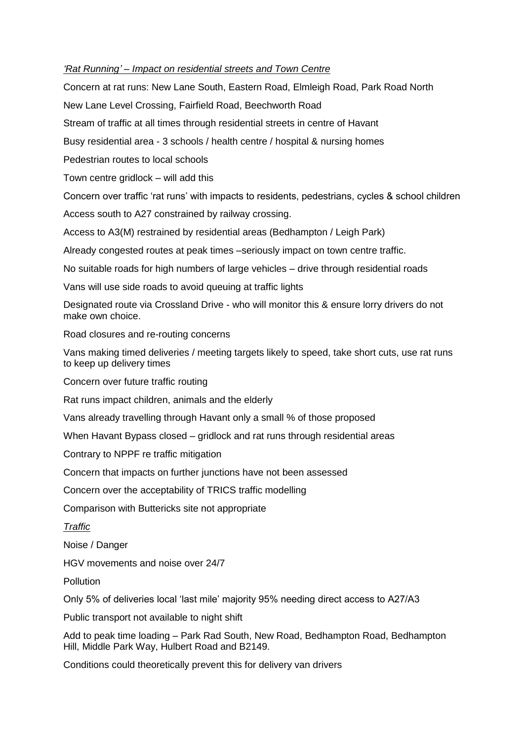## *'Rat Running' – Impact on residential streets and Town Centre*

Concern at rat runs: New Lane South, Eastern Road, Elmleigh Road, Park Road North New Lane Level Crossing, Fairfield Road, Beechworth Road Stream of traffic at all times through residential streets in centre of Havant Busy residential area - 3 schools / health centre / hospital & nursing homes Pedestrian routes to local schools Town centre gridlock – will add this Concern over traffic 'rat runs' with impacts to residents, pedestrians, cycles & school children Access south to A27 constrained by railway crossing. Access to A3(M) restrained by residential areas (Bedhampton / Leigh Park) Already congested routes at peak times –seriously impact on town centre traffic. No suitable roads for high numbers of large vehicles – drive through residential roads Vans will use side roads to avoid queuing at traffic lights

Designated route via Crossland Drive - who will monitor this & ensure lorry drivers do not make own choice.

Road closures and re-routing concerns

Vans making timed deliveries / meeting targets likely to speed, take short cuts, use rat runs to keep up delivery times

Concern over future traffic routing

Rat runs impact children, animals and the elderly

Vans already travelling through Havant only a small % of those proposed

When Havant Bypass closed – gridlock and rat runs through residential areas

Contrary to NPPF re traffic mitigation

Concern that impacts on further junctions have not been assessed

Concern over the acceptability of TRICS traffic modelling

Comparison with Buttericks site not appropriate

#### *Traffic*

Noise / Danger

HGV movements and noise over 24/7

**Pollution** 

Only 5% of deliveries local 'last mile' majority 95% needing direct access to A27/A3

Public transport not available to night shift

Add to peak time loading – Park Rad South, New Road, Bedhampton Road, Bedhampton Hill, Middle Park Way, Hulbert Road and B2149.

Conditions could theoretically prevent this for delivery van drivers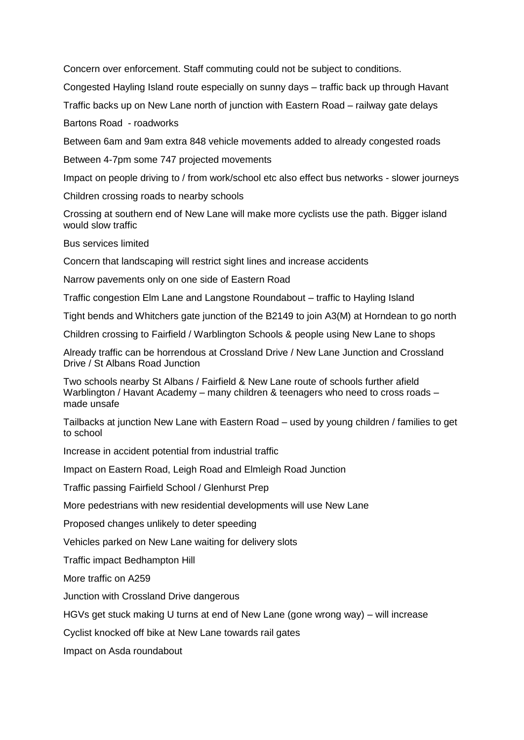Concern over enforcement. Staff commuting could not be subject to conditions.

Congested Hayling Island route especially on sunny days – traffic back up through Havant

Traffic backs up on New Lane north of junction with Eastern Road – railway gate delays

Bartons Road - roadworks

Between 6am and 9am extra 848 vehicle movements added to already congested roads

Between 4-7pm some 747 projected movements

Impact on people driving to / from work/school etc also effect bus networks - slower journeys

Children crossing roads to nearby schools

Crossing at southern end of New Lane will make more cyclists use the path. Bigger island would slow traffic

Bus services limited

Concern that landscaping will restrict sight lines and increase accidents

Narrow pavements only on one side of Eastern Road

Traffic congestion Elm Lane and Langstone Roundabout – traffic to Hayling Island

Tight bends and Whitchers gate junction of the B2149 to join A3(M) at Horndean to go north

Children crossing to Fairfield / Warblington Schools & people using New Lane to shops

Already traffic can be horrendous at Crossland Drive / New Lane Junction and Crossland Drive / St Albans Road Junction

Two schools nearby St Albans / Fairfield & New Lane route of schools further afield Warblington / Havant Academy – many children & teenagers who need to cross roads – made unsafe

Tailbacks at junction New Lane with Eastern Road – used by young children / families to get to school

Increase in accident potential from industrial traffic

Impact on Eastern Road, Leigh Road and Elmleigh Road Junction

Traffic passing Fairfield School / Glenhurst Prep

More pedestrians with new residential developments will use New Lane

Proposed changes unlikely to deter speeding

Vehicles parked on New Lane waiting for delivery slots

Traffic impact Bedhampton Hill

More traffic on A259

Junction with Crossland Drive dangerous

HGVs get stuck making U turns at end of New Lane (gone wrong way) – will increase

Cyclist knocked off bike at New Lane towards rail gates

Impact on Asda roundabout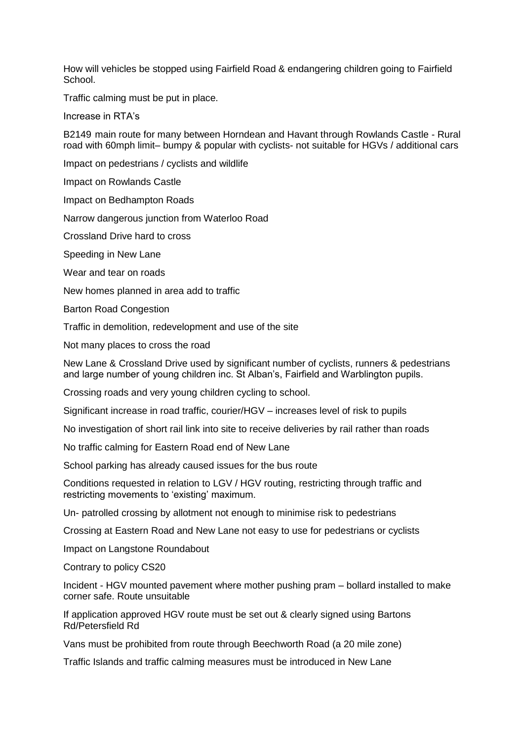How will vehicles be stopped using Fairfield Road & endangering children going to Fairfield School.

Traffic calming must be put in place.

Increase in RTA's

B2149 main route for many between Horndean and Havant through Rowlands Castle - Rural road with 60mph limit– bumpy & popular with cyclists- not suitable for HGVs / additional cars

Impact on pedestrians / cyclists and wildlife

Impact on Rowlands Castle

Impact on Bedhampton Roads

Narrow dangerous junction from Waterloo Road

Crossland Drive hard to cross

Speeding in New Lane

Wear and tear on roads

New homes planned in area add to traffic

Barton Road Congestion

Traffic in demolition, redevelopment and use of the site

Not many places to cross the road

New Lane & Crossland Drive used by significant number of cyclists, runners & pedestrians and large number of young children inc. St Alban's, Fairfield and Warblington pupils.

Crossing roads and very young children cycling to school.

Significant increase in road traffic, courier/HGV – increases level of risk to pupils

No investigation of short rail link into site to receive deliveries by rail rather than roads

No traffic calming for Eastern Road end of New Lane

School parking has already caused issues for the bus route

Conditions requested in relation to LGV / HGV routing, restricting through traffic and restricting movements to 'existing' maximum.

Un- patrolled crossing by allotment not enough to minimise risk to pedestrians

Crossing at Eastern Road and New Lane not easy to use for pedestrians or cyclists

Impact on Langstone Roundabout

Contrary to policy CS20

Incident - HGV mounted pavement where mother pushing pram – bollard installed to make corner safe. Route unsuitable

If application approved HGV route must be set out & clearly signed using Bartons Rd/Petersfield Rd

Vans must be prohibited from route through Beechworth Road (a 20 mile zone)

Traffic Islands and traffic calming measures must be introduced in New Lane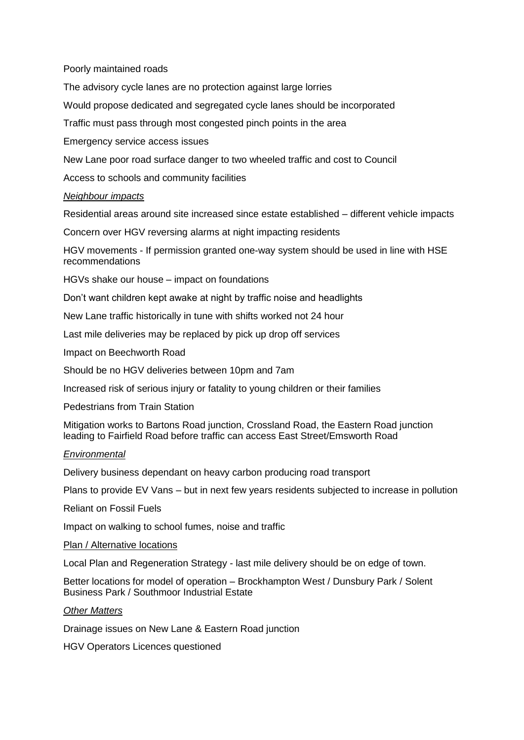## Poorly maintained roads

The advisory cycle lanes are no protection against large lorries

Would propose dedicated and segregated cycle lanes should be incorporated

Traffic must pass through most congested pinch points in the area

Emergency service access issues

New Lane poor road surface danger to two wheeled traffic and cost to Council

Access to schools and community facilities

#### *Neighbour impacts*

Residential areas around site increased since estate established – different vehicle impacts

Concern over HGV reversing alarms at night impacting residents

HGV movements - If permission granted one-way system should be used in line with HSE recommendations

HGVs shake our house – impact on foundations

Don't want children kept awake at night by traffic noise and headlights

New Lane traffic historically in tune with shifts worked not 24 hour

Last mile deliveries may be replaced by pick up drop off services

Impact on Beechworth Road

Should be no HGV deliveries between 10pm and 7am

Increased risk of serious injury or fatality to young children or their families

Pedestrians from Train Station

Mitigation works to Bartons Road junction, Crossland Road, the Eastern Road junction leading to Fairfield Road before traffic can access East Street/Emsworth Road

#### *Environmental*

Delivery business dependant on heavy carbon producing road transport

Plans to provide EV Vans – but in next few years residents subjected to increase in pollution

Reliant on Fossil Fuels

Impact on walking to school fumes, noise and traffic

#### Plan / Alternative locations

Local Plan and Regeneration Strategy - last mile delivery should be on edge of town.

Better locations for model of operation – Brockhampton West / Dunsbury Park / Solent Business Park / Southmoor Industrial Estate

#### *Other Matters*

Drainage issues on New Lane & Eastern Road junction

HGV Operators Licences questioned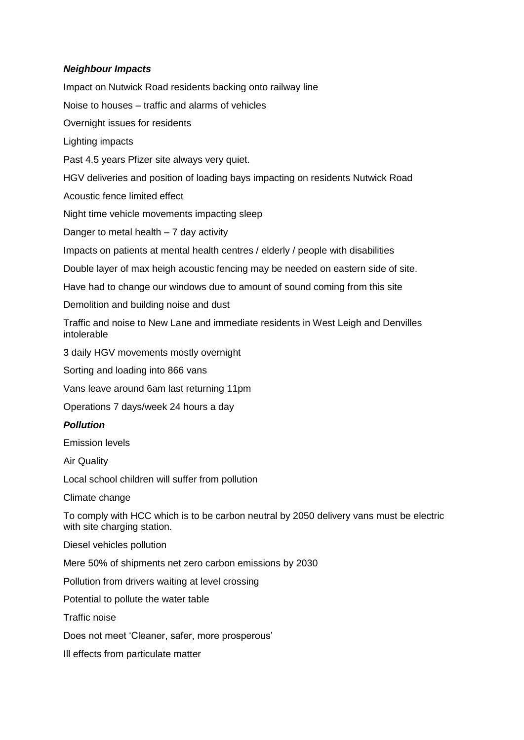## *Neighbour Impacts*

Impact on Nutwick Road residents backing onto railway line

Noise to houses – traffic and alarms of vehicles

Overnight issues for residents

Lighting impacts

Past 4.5 years Pfizer site always very quiet.

HGV deliveries and position of loading bays impacting on residents Nutwick Road

Acoustic fence limited effect

Night time vehicle movements impacting sleep

Danger to metal health  $-7$  day activity

Impacts on patients at mental health centres / elderly / people with disabilities

Double layer of max heigh acoustic fencing may be needed on eastern side of site.

Have had to change our windows due to amount of sound coming from this site

Demolition and building noise and dust

Traffic and noise to New Lane and immediate residents in West Leigh and Denvilles intolerable

3 daily HGV movements mostly overnight

Sorting and loading into 866 vans

Vans leave around 6am last returning 11pm

Operations 7 days/week 24 hours a day

## *Pollution*

Emission levels

Air Quality

Local school children will suffer from pollution

Climate change

To comply with HCC which is to be carbon neutral by 2050 delivery vans must be electric with site charging station.

Diesel vehicles pollution

Mere 50% of shipments net zero carbon emissions by 2030

Pollution from drivers waiting at level crossing

Potential to pollute the water table

Traffic noise

Does not meet 'Cleaner, safer, more prosperous'

Ill effects from particulate matter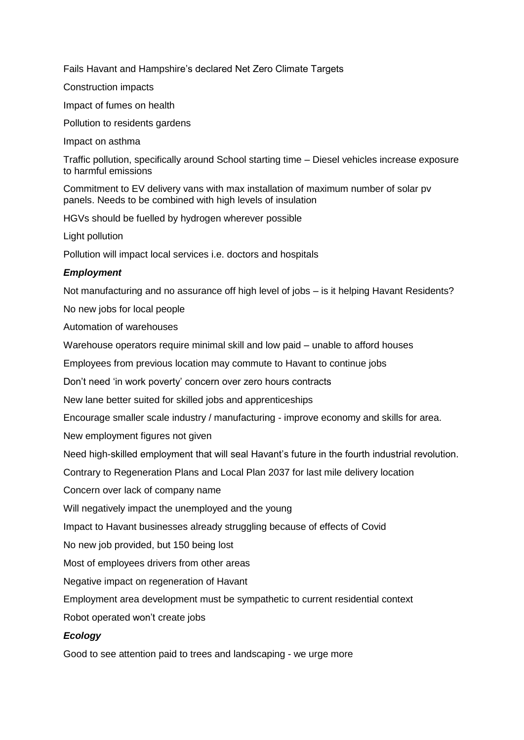Fails Havant and Hampshire's declared Net Zero Climate Targets

Construction impacts

Impact of fumes on health

Pollution to residents gardens

Impact on asthma

Traffic pollution, specifically around School starting time – Diesel vehicles increase exposure to harmful emissions

Commitment to EV delivery vans with max installation of maximum number of solar pv panels. Needs to be combined with high levels of insulation

HGVs should be fuelled by hydrogen wherever possible

Light pollution

Pollution will impact local services i.e. doctors and hospitals

# *Employment*

Not manufacturing and no assurance off high level of jobs – is it helping Havant Residents?

No new jobs for local people

Automation of warehouses

Warehouse operators require minimal skill and low paid – unable to afford houses

Employees from previous location may commute to Havant to continue jobs

Don't need 'in work poverty' concern over zero hours contracts

New lane better suited for skilled jobs and apprenticeships

Encourage smaller scale industry / manufacturing - improve economy and skills for area.

New employment figures not given

Need high-skilled employment that will seal Havant's future in the fourth industrial revolution.

Contrary to Regeneration Plans and Local Plan 2037 for last mile delivery location

Concern over lack of company name

Will negatively impact the unemployed and the young

Impact to Havant businesses already struggling because of effects of Covid

No new job provided, but 150 being lost

Most of employees drivers from other areas

Negative impact on regeneration of Havant

Employment area development must be sympathetic to current residential context

Robot operated won't create jobs

# *Ecology*

Good to see attention paid to trees and landscaping - we urge more